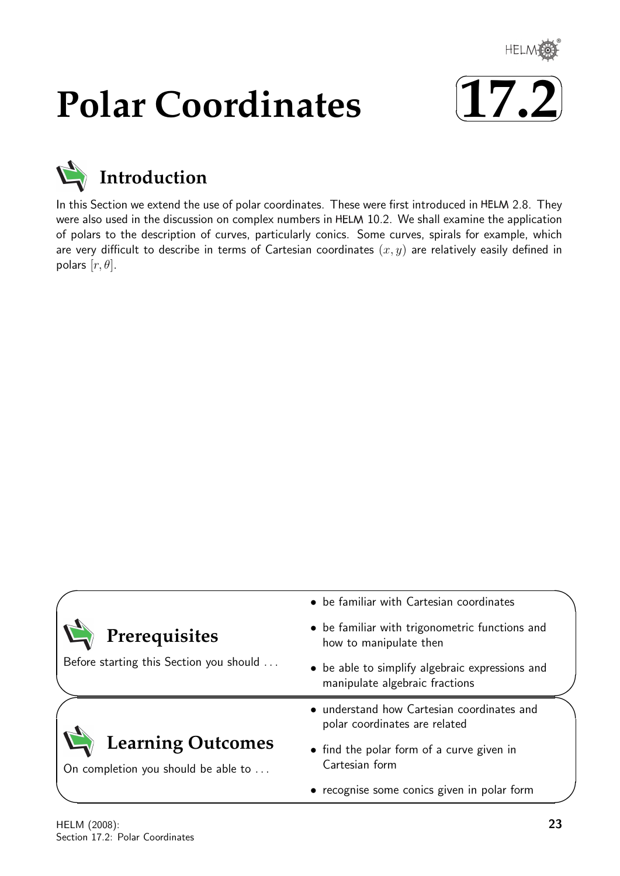

# **Polar Coordinates**





In this Section we extend the use of polar coordinates. These were first introduced in HELM 2.8. They were also used in the discussion on complex numbers in HELM 10.2. We shall examine the application of polars to the description of curves, particularly conics. Some curves, spirals for example, which are very difficult to describe in terms of Cartesian coordinates  $(x, y)$  are relatively easily defined in polars  $[r, \theta]$ .

|                                                                 | • be familiar with Cartesian coordinates                                          |  |
|-----------------------------------------------------------------|-----------------------------------------------------------------------------------|--|
| Prerequisites                                                   | • be familiar with trigonometric functions and<br>how to manipulate then          |  |
| Before starting this Section you should                         | • be able to simplify algebraic expressions and<br>manipulate algebraic fractions |  |
|                                                                 | • understand how Cartesian coordinates and<br>polar coordinates are related       |  |
| <b>Learning Outcomes</b><br>On completion you should be able to | • find the polar form of a curve given in<br>Cartesian form                       |  |
|                                                                 | • recognise some conics given in polar form                                       |  |

 $\overline{\phantom{0}}$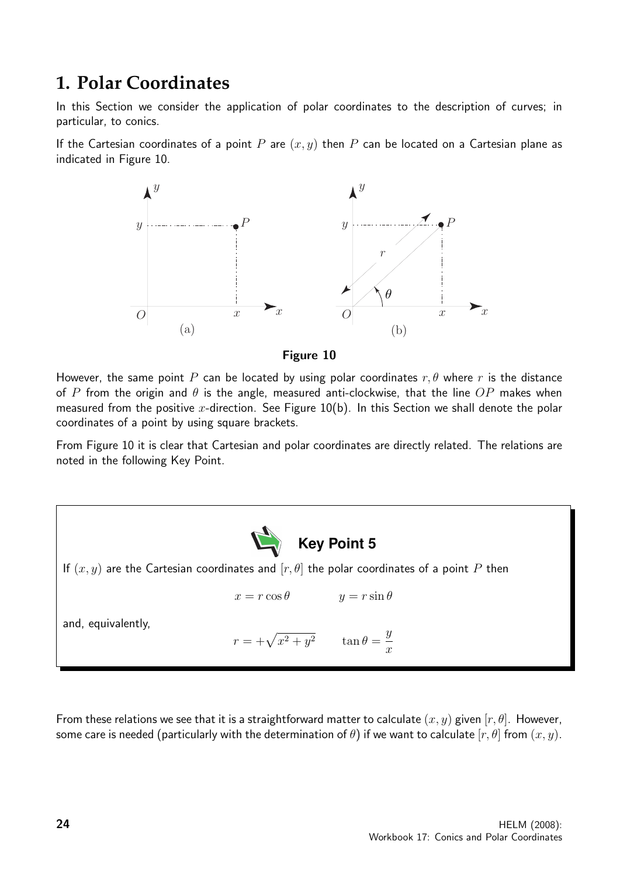# **1. Polar Coordinates**

In this Section we consider the application of polar coordinates to the description of curves; in particular, to conics.

If the Cartesian coordinates of a point P are  $(x, y)$  then P can be located on a Cartesian plane as indicated in Figure 10.



Figure 10

However, the same point P can be located by using polar coordinates  $r, \theta$  where r is the distance of P from the origin and  $\theta$  is the angle, measured anti-clockwise, that the line  $OP$  makes when measured from the positive x-direction. See Figure  $10(b)$ . In this Section we shall denote the polar coordinates of a point by using square brackets.

From Figure 10 it is clear that Cartesian and polar coordinates are directly related. The relations are noted in the following Key Point.

**Key Point 5** If  $(x, y)$  are the Cartesian coordinates and  $[r, \theta]$  the polar coordinates of a point P then  $x = r \cos \theta$   $y = r \sin \theta$ and, equivalently,  $r = +\sqrt{x^2 + y^2}$   $\tan \theta =$  $\hat{y}$  $\overline{x}$ 

From these relations we see that it is a straightforward matter to calculate  $(x, y)$  given  $[r, \theta]$ . However, some care is needed (particularly with the determination of  $\theta$ ) if we want to calculate  $[r, \theta]$  from  $(x, y)$ .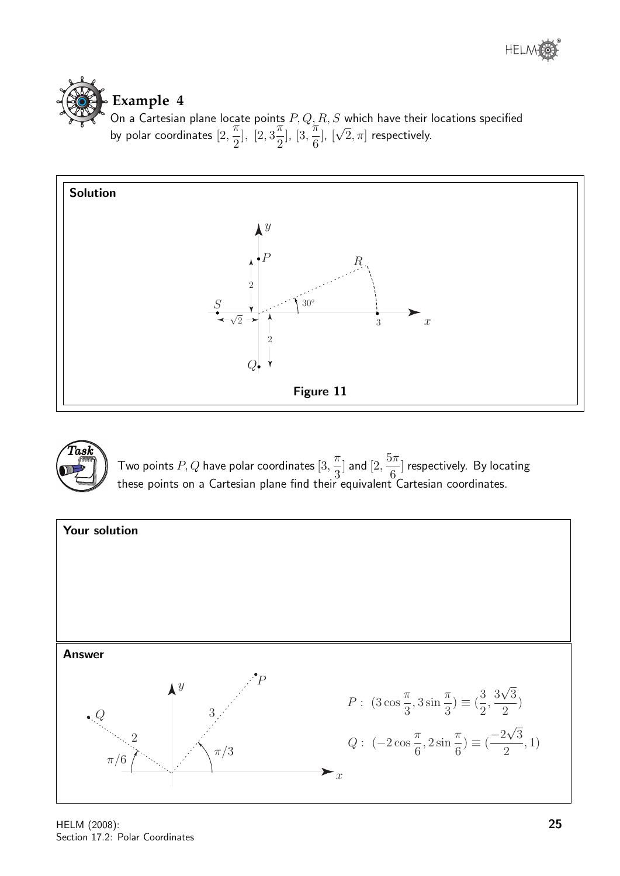



On a Cartesian plane locate points  $P,Q,R,S$  which have their locations specified by polar coordinates [2,  $\frac{1}{\pi}$ 2 ], [2, 3  $\frac{1}{\pi}$ 2 ], [3,  $\frac{1}{\pi}$ 6 ], [ √  $[2,\pi]$  respectively.





Two points  $P,Q$  have polar coordinates  $[3, \infty)$  $\pi$ 3  $\vert$  and  $\vert 2,$  $5\pi$ 6 ] respectively. By locating these points on a Cartesian plane find their equivalent Cartesian coordinates.

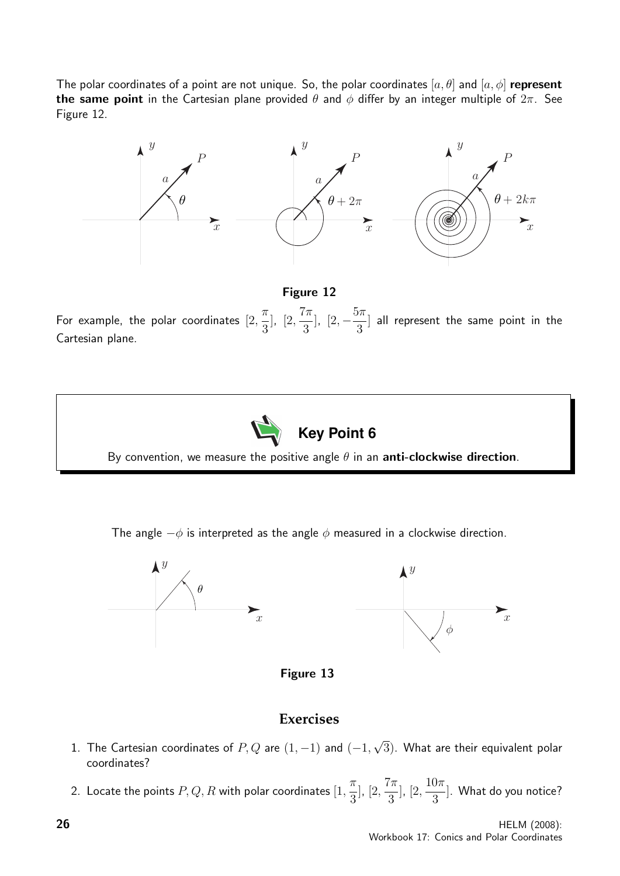The polar coordinates of a point are not unique. So, the polar coordinates  $[a, \theta]$  and  $[a, \phi]$  represent the same point in the Cartesian plane provided  $\theta$  and  $\phi$  differ by an integer multiple of  $2\pi$ . See Figure 12.



#### Figure 12

For example, the polar coordinates  $[2,$  $\pi$ 3 ], [2,  $7\pi$ 3  $\left| \frac{2}{2}, -\frac{5\pi}{2} \right|$ 3 ] all represent the same point in the Cartesian plane.



The angle  $-\phi$  is interpreted as the angle  $\phi$  measured in a clockwise direction.



Figure 13

#### **Exercises**

- 1. The Cartesian coordinates of  $P,Q$  are  $(1,-1)$  and  $(-1,$ √  $(3)$ . What are their equivalent polar coordinates?
- 2. Locate the points  $P,Q,R$  with polar coordinates  $[1, \,$  $\pi$ 3 ], [2,  $7\pi$ 3 ], [2,  $10\pi$ 3 ]. What do you notice?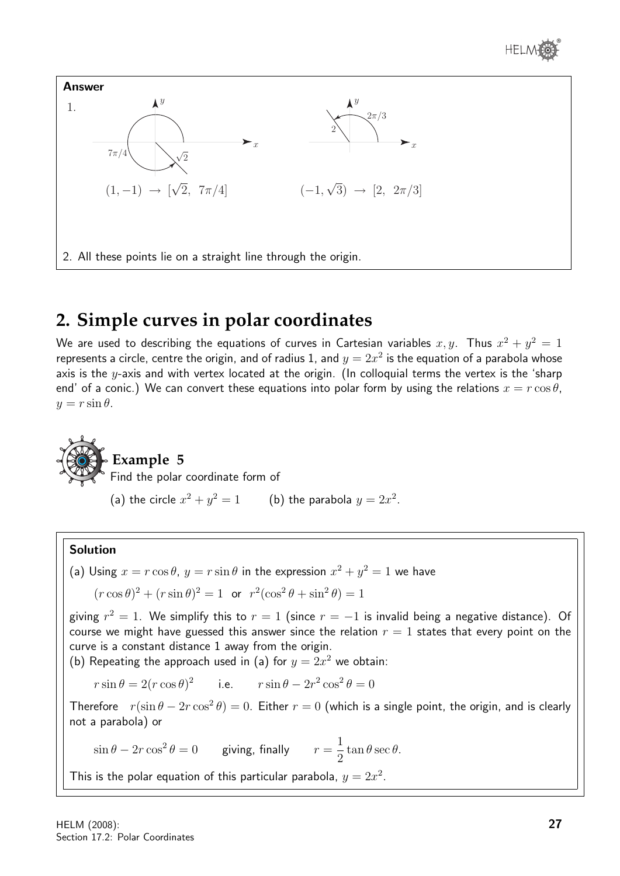



# **2. Simple curves in polar coordinates**

We are used to describing the equations of curves in Cartesian variables  $x,y$ . Thus  $x^2+y^2=\mathbb{1}$ represents a circle, centre the origin, and of radius 1, and  $y=2x^2$  is the equation of a parabola whose axis is the  $y$ -axis and with vertex located at the origin. (In colloquial terms the vertex is the 'sharp end' of a conic.) We can convert these equations into polar form by using the relations  $x = r \cos \theta$ ,  $y = r \sin \theta$ .



### **Example 5**

Find the polar coordinate form of

(a) the circle  $x^2 + y^2 = 1$  (b) the parabola  $y = 2x^2$ .

#### Solution

(a) Using 
$$
x = r \cos \theta
$$
,  $y = r \sin \theta$  in the expression  $x^2 + y^2 = 1$  we have

 $(r \cos \theta)^2 + (r \sin \theta)^2 = 1$  or  $r^2(\cos^2 \theta + \sin^2 \theta) = 1$ 

giving  $r^2=1$ . We simplify this to  $r=1$  (since  $r=-1$  is invalid being a negative distance). Of course we might have guessed this answer since the relation  $r = 1$  states that every point on the curve is a constant distance 1 away from the origin.

(b) Repeating the approach used in (a) for  $y = 2x^2$  we obtain:

 $r \sin \theta = 2(r \cos \theta)^2$  i.e.  $r \sin \theta - 2r^2 \cos^2 \theta = 0$ 

Therefore  $r(\sin \theta - 2r \cos^2 \theta) = 0$ . Either  $r = 0$  (which is a single point, the origin, and is clearly not a parabola) or

 $\sin \theta - 2r \cos^2 \theta = 0$  giving, finally  $r =$ 1 2  $\tan \theta \sec \theta$ .

This is the polar equation of this particular parabola,  $y = 2x^2$ .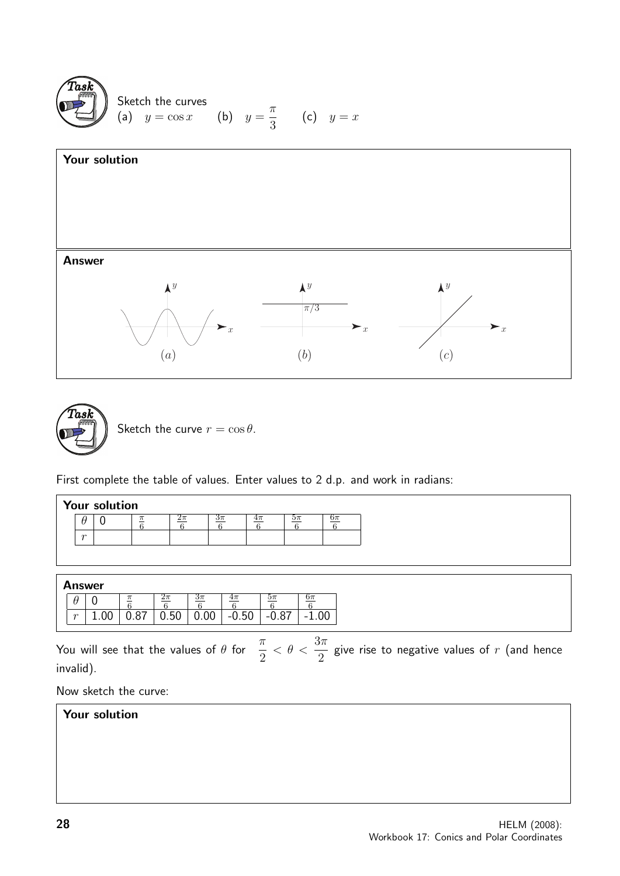





Sketch the curve  $r = \cos \theta$ .

First complete the table of values. Enter values to 2 d.p. and work in radians:

|  |  | <b>Your solution</b> |
|--|--|----------------------|
|--|--|----------------------|

| $\sim$ |  |  |  |  |
|--------|--|--|--|--|

#### Answer

|        | . |    | Zπ             |     | $4\pi$  |         | эπ                       |
|--------|---|----|----------------|-----|---------|---------|--------------------------|
| $\sim$ |   | 87 | БΛ<br>∪.∪<br>u | .UU | $-0.50$ | $-0.87$ | $\overline{\phantom{0}}$ |

You will see that the values of  $\theta$  for  $\frac{\pi}{2}$ 2  $< \theta < \frac{3\pi}{2}$ 2 give rise to negative values of  $r$  (and hence invalid).

Now sketch the curve:

# Your solution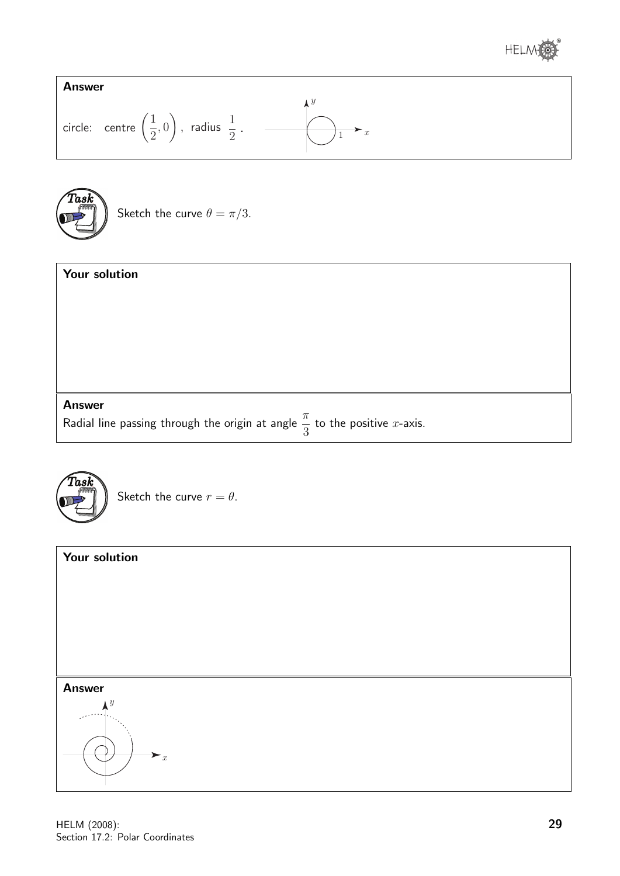





Sketch the curve 
$$
\theta = \pi/3
$$
.

#### Your solution

#### Answer

Radial line passing through the origin at angle  $\frac{\pi}{2}$ 3 to the positive  $x$ -axis.



Sketch the curve  $r = \theta$ .

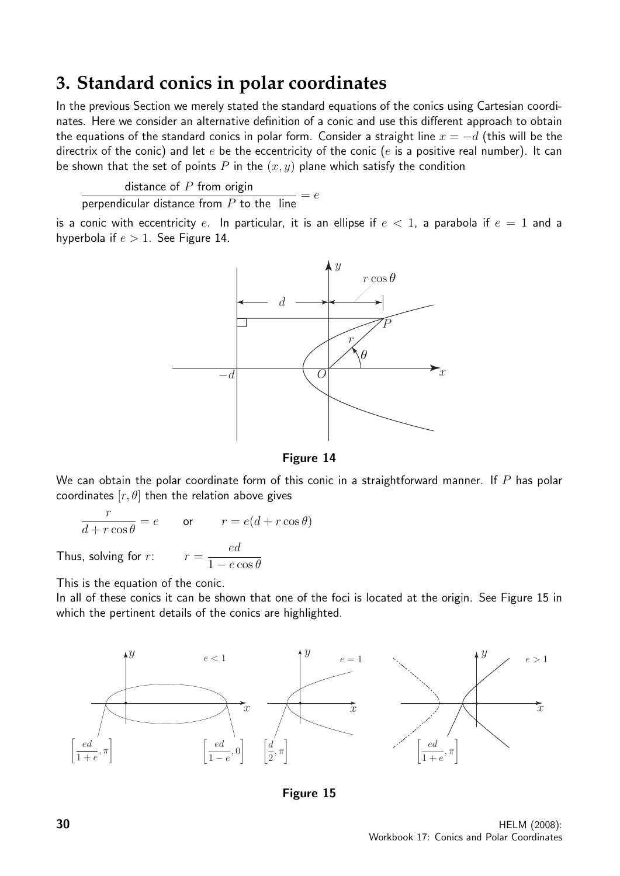# **3. Standard conics in polar coordinates**

In the previous Section we merely stated the standard equations of the conics using Cartesian coordinates. Here we consider an alternative definition of a conic and use this different approach to obtain the equations of the standard conics in polar form. Consider a straight line  $x = -d$  (this will be the directrix of the conic) and let  $e$  be the eccentricity of the conic ( $e$  is a positive real number). It can be shown that the set of points  $P$  in the  $(x, y)$  plane which satisfy the condition

distance of  $P$  from origin

 $\frac{u}{v} = e$ <br>perpendicular distance from P to the line

is a conic with eccentricity e. In particular, it is an ellipse if  $e < 1$ , a parabola if  $e = 1$  and a hyperbola if  $e > 1$ . See Figure 14.



Figure 14

We can obtain the polar coordinate form of this conic in a straightforward manner. If  $P$  has polar coordinates  $[r, \theta]$  then the relation above gives

$$
\frac{r}{d+r\cos\theta} = e \qquad \text{or} \qquad r = e(d+r\cos\theta)
$$

ed  $1 - e \cos \theta$ 

Thus, solving for  $r$ :

This is the equation of the conic.

In all of these conics it can be shown that one of the foci is located at the origin. See Figure 15 in which the pertinent details of the conics are highlighted.



Figure 15

**30** HELM (2008): Workbook 17: Conics and Polar Coordinates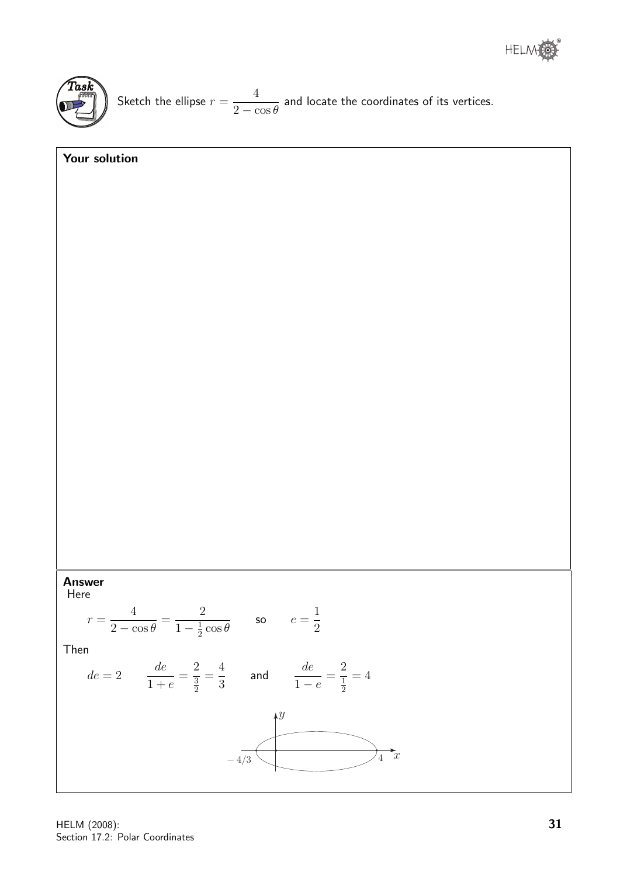

Sketch the ellipse  $r =$ 4  $2 - \cos \theta$ and locate the coordinates of its vertices.